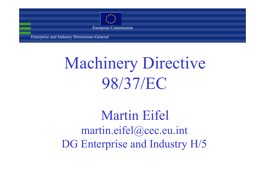

European Commission

Enterprise and Industry Directorate-General

# Machinery Directive 98/37/EC

Martin Eifel martin.eifel@cec.eu.int DG Enterprise and Industry H/5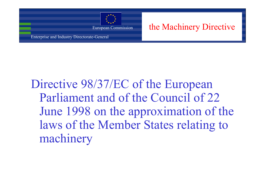

European Commission the Machinery Directive

Directive 98/37/EC of the European Parliament and of the Council of 22 June 1998 on the approximation of the laws of the Member States relating to machinery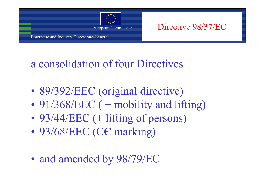

European Commission Directive 98/37/EC

### a consolidation of four Directives

- •89/392/EEC (original directive)
- •91/368/EEC ( + mobility and lifting)
- •93/44/EEC (+ lifting of persons)
- •93/68/EEC (СЄ marking)
- •and amended by 98/79/EC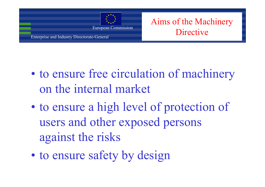

European Commission<br> **European Commission**<br> **European Commission**<br> **European Commission**<br> **European Commission** 

- $\bullet$  to ensure free circulation of machinery on the internal market
- $\bullet$  to ensure a high level of protection of users and other exposed persons against the risks
- $\bullet$ to ensure safety by design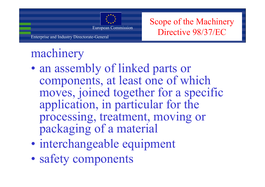

European Commission Scope of the Machinery<br>Directive 98/37/EC

## machinery

- $\bullet$  an assembly of linked parts or components, at least one of which moves, joined together for a specific application, in particular for the processing, treatment, moving or packaging of a material
- $\bullet$ interchangeable equipment
- $\bullet$ safety components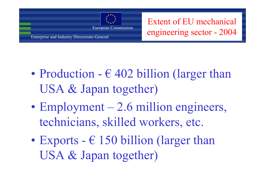

European Commission

Enterprise and Industry Directorate-General

Extent of EU mechanical engineering sector - 2004

- $\bullet$ Production -  $\epsilon$  402 billion (larger than USA & Japan together)
- $\bullet$  $Employment - 2.6 million engineers,$ technicians, skilled workers, etc.
- $\bullet$ Exports -  $\epsilon$  150 billion (larger than USA & Japan together)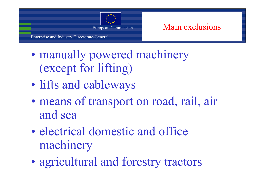

European Commission Main exclusions

Enterprise and Industry Directorate-General

- $\bullet$  manually powered machinery (except for lifting)
- $\bullet$ lifts and cableways
- $\bullet$  means of transport on road, rail, air and sea
- $\bullet$  electrical domestic and office machinery
- $\bullet$ agricultural and forestry tractors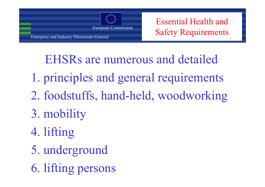

Essential Health and Safety Requirements

EHSRs are numerous and detailed

- 1. principles and general requirements
- 2. foodstuffs, hand-held, woodworking
- 3. mobility
- 4. lifting
- 5. underground
- 6. lifting persons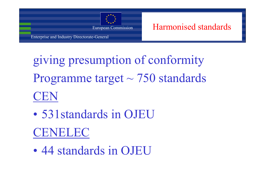

European Commission **Harmonised standards** 

giving presumption of conformity Programme target ~ 750 standards CEN

- • 531standards in OJEUCENELEC
- •44 standards in OJEU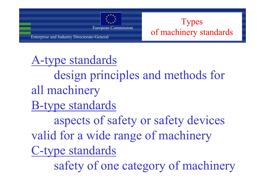

### A-type standards

design principles and methods for all machinery

B-type standards

aspects of safety or safety devices valid for a wide range of machinery

C-type standards

safety of one category of machinery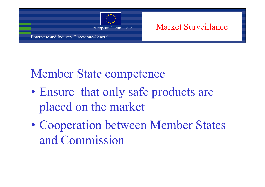

European Commission Market Surveillance

### Member State competence

- $\bullet$  Ensure that only safe products are placed on the market
- $\bullet$  Cooperation between Member States and Commission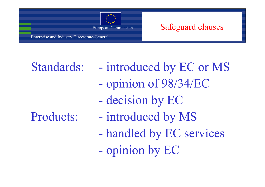

#### European Commission Safeguard clauses

Enterprise and Industry Directorate-General

- Standards: introduced by EC or MS opinion of 98/34/EC
	- decision by EC
- Products: introduced by MS
	- handled by EC services
	- opinion by EC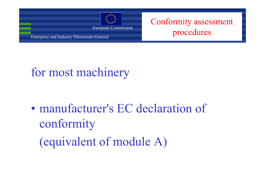

European Commission **Conformity assessment** 

## for most machinery

- $\bullet$  manufacturer's EC declaration of conformity
	- (equivalent of module A)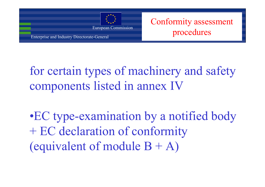

European Commission **Conformity assessment** 

## for certain types of machinery and safety components listed in annex IV

•EC type-examination by a notified body + EC declaration of conformity (equivalent of module  $B + A$ )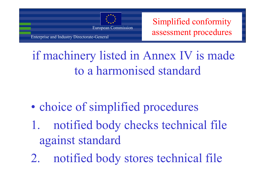

European Commission Simplified conformity

if machinery listed in Annex IV is made to a harmonised standard

- $\bullet$ choice of simplified procedures
- 1. notified body checks technical file against standard
- 2. notified body stores technical file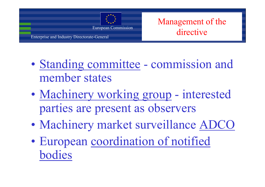

European Commission<br>
European Commission<br> **European Commission**<br> **European Commission**<br> **European Commission** 

Enterprise and Industry Directorate-General

- $\bullet$ Standing committee - commission and member states
- $\bullet$ Machinery working group - interested parties are present as observers
- $\bullet$ Machinery market surveillance ADCO
- $\bullet$  European coordination of notified bodies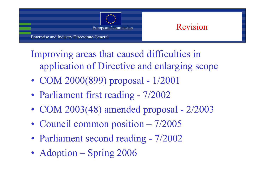

Improving areas that caused difficulties in application of Directive and enlarging scope

- COM 2000(899) proposal 1/2001
- Parliament first reading 7/2002
- COM 2003(48) amended proposal 2/2003
- Council common position 7/2005
- Parliament second reading 7/2002
- Adoption Spring 2006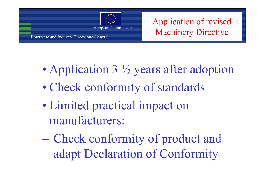

European Commission Application of revised<br>Machinery Directive

- $\bullet$ Application 3 ½ years after adoption
- $\bullet$ Check conformity of standards
- $\bullet$  Limited practical impact on manufacturers:

 Check conformity of product and adapt Declaration of Conformity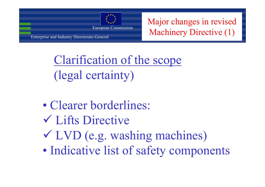

European Commission Major changes in revised<br>Machinery Directive (1)

Clarification of the scope (legal certainty)

- •Clearer borderlines:
- 9 Lifts Directive
- 9 LVD (e.g. washing machines)
- •Indicative list of safety components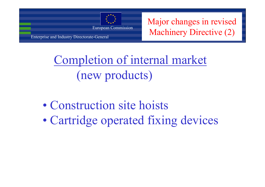

European Commission Major changes in revised<br>Machinery Directive (2)

## Completion of internal market (new products)

- •Construction site hoists
- •Cartridge operated fixing devices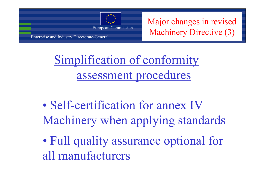

European Commission Major changes in revised<br>Machinery Directive (3)

Simplification of conformity assessment procedures

- • Self-certification for annex IV Machinery when applying standards
- $\bullet$  Full quality assurance optional for all manufacturers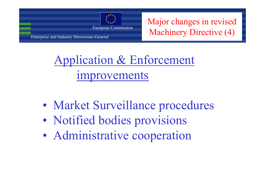

European Commission Major changes in revised<br>Machinery Directive (4)

Application & Enforcement improvements

- •Market Surveillance procedures
- •Notified bodies provisions
- •Administrative cooperation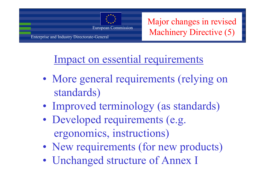

European Commission Major changes in revised<br>Machinery Directive (5)

### Impact on essential requirements

- • More general requirements (relying on standards)
- •Improved terminology (as standards)
- • Developed requirements (e.g. ergonomics, instructions)
- •New requirements (for new products)
- •Unchanged structure of Annex I